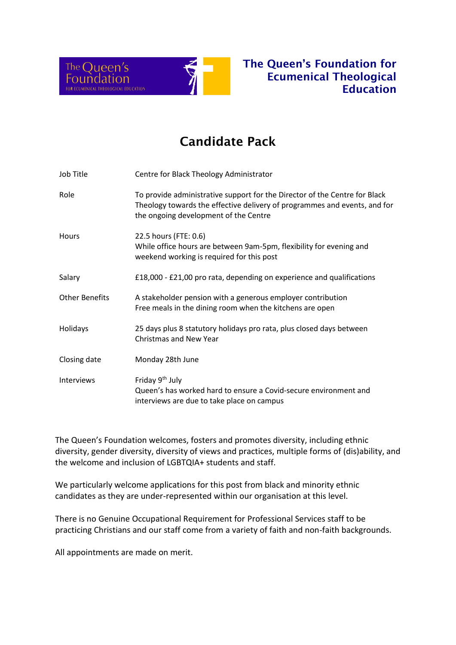

# The Queen's Foundation for Ecumenical Theological Education

# Candidate Pack

| Job Title             | Centre for Black Theology Administrator                                                                                                                                                          |
|-----------------------|--------------------------------------------------------------------------------------------------------------------------------------------------------------------------------------------------|
| Role                  | To provide administrative support for the Director of the Centre for Black<br>Theology towards the effective delivery of programmes and events, and for<br>the ongoing development of the Centre |
| Hours                 | 22.5 hours (FTE: 0.6)<br>While office hours are between 9am-5pm, flexibility for evening and<br>weekend working is required for this post                                                        |
| Salary                | £18,000 - £21,00 pro rata, depending on experience and qualifications                                                                                                                            |
| <b>Other Benefits</b> | A stakeholder pension with a generous employer contribution<br>Free meals in the dining room when the kitchens are open                                                                          |
| Holidays              | 25 days plus 8 statutory holidays pro rata, plus closed days between<br><b>Christmas and New Year</b>                                                                                            |
| Closing date          | Monday 28th June                                                                                                                                                                                 |
| Interviews            | Friday 9 <sup>th</sup> July<br>Queen's has worked hard to ensure a Covid-secure environment and<br>interviews are due to take place on campus                                                    |

The Queen's Foundation welcomes, fosters and promotes diversity, including ethnic diversity, gender diversity, diversity of views and practices, multiple forms of (dis)ability, and the welcome and inclusion of LGBTQIA+ students and staff.

We particularly welcome applications for this post from black and minority ethnic candidates as they are under-represented within our organisation at this level.

There is no Genuine Occupational Requirement for Professional Services staff to be practicing Christians and our staff come from a variety of faith and non-faith backgrounds.

All appointments are made on merit.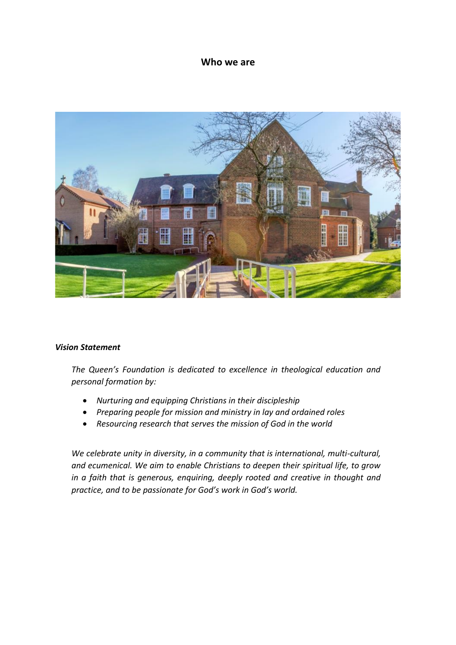### **Who we are**



#### *Vision Statement*

*The Queen's Foundation is dedicated to excellence in theological education and personal formation by:*

- *Nurturing and equipping Christians in their discipleship*
- *Preparing people for mission and ministry in lay and ordained roles*
- *Resourcing research that serves the mission of God in the world*

*We celebrate unity in diversity, in a community that is international, multi-cultural, and ecumenical. We aim to enable Christians to deepen their spiritual life, to grow in a faith that is generous, enquiring, deeply rooted and creative in thought and practice, and to be passionate for God's work in God's world.*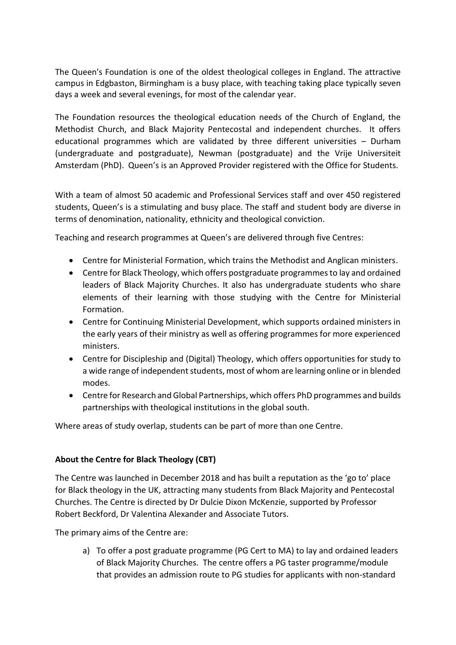The Queen's Foundation is one of the oldest theological colleges in England. The attractive campus in Edgbaston, Birmingham is a busy place, with teaching taking place typically seven days a week and several evenings, for most of the calendar year.

The Foundation resources the theological education needs of the Church of England, the Methodist Church, and Black Majority Pentecostal and independent churches. It offers educational programmes which are validated by three different universities – Durham (undergraduate and postgraduate), Newman (postgraduate) and the Vrije Universiteit Amsterdam (PhD). Queen's is an Approved Provider registered with the Office for Students.

With a team of almost 50 academic and Professional Services staff and over 450 registered students, Queen's is a stimulating and busy place. The staff and student body are diverse in terms of denomination, nationality, ethnicity and theological conviction.

Teaching and research programmes at Queen's are delivered through five Centres:

- Centre for Ministerial Formation, which trains the Methodist and Anglican ministers.
- Centre for Black Theology, which offers postgraduate programmes to lay and ordained leaders of Black Majority Churches. It also has undergraduate students who share elements of their learning with those studying with the Centre for Ministerial Formation.
- Centre for Continuing Ministerial Development, which supports ordained ministers in the early years of their ministry as well as offering programmes for more experienced ministers.
- Centre for Discipleship and (Digital) Theology, which offers opportunities for study to a wide range of independent students, most of whom are learning online or in blended modes.
- Centre for Research and Global Partnerships, which offers PhD programmes and builds partnerships with theological institutions in the global south.

Where areas of study overlap, students can be part of more than one Centre.

### **About the Centre for Black Theology (CBT)**

The Centre was launched in December 2018 and has built a reputation as the 'go to' place for Black theology in the UK, attracting many students from Black Majority and Pentecostal Churches. The Centre is directed by Dr Dulcie Dixon McKenzie, supported by Professor Robert Beckford, Dr Valentina Alexander and Associate Tutors.

The primary aims of the Centre are:

a) To offer a post graduate programme (PG Cert to MA) to lay and ordained leaders of Black Majority Churches. The centre offers a PG taster programme/module that provides an admission route to PG studies for applicants with non-standard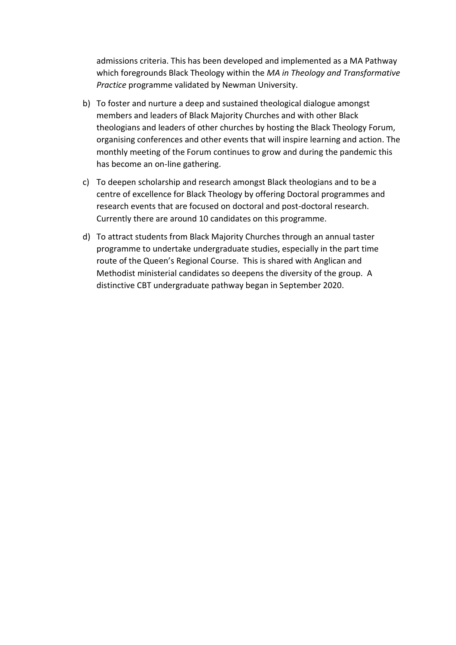admissions criteria. This has been developed and implemented as a MA Pathway which foregrounds Black Theology within the *MA in Theology and Transformative Practice* programme validated by Newman University.

- b) To foster and nurture a deep and sustained theological dialogue amongst members and leaders of Black Majority Churches and with other Black theologians and leaders of other churches by hosting the Black Theology Forum, organising conferences and other events that will inspire learning and action. The monthly meeting of the Forum continues to grow and during the pandemic this has become an on-line gathering.
- c) To deepen scholarship and research amongst Black theologians and to be a centre of excellence for Black Theology by offering Doctoral programmes and research events that are focused on doctoral and post-doctoral research. Currently there are around 10 candidates on this programme.
- d) To attract students from Black Majority Churches through an annual taster programme to undertake undergraduate studies, especially in the part time route of the Queen's Regional Course. This is shared with Anglican and Methodist ministerial candidates so deepens the diversity of the group. A distinctive CBT undergraduate pathway began in September 2020.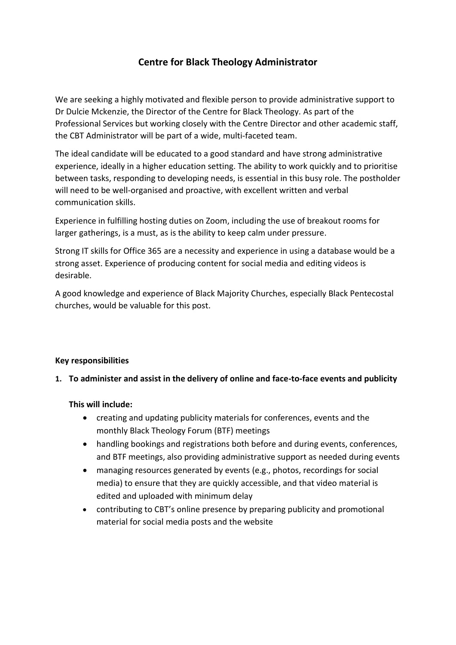### **Centre for Black Theology Administrator**

We are seeking a highly motivated and flexible person to provide administrative support to Dr Dulcie Mckenzie, the Director of the Centre for Black Theology. As part of the Professional Services but working closely with the Centre Director and other academic staff, the CBT Administrator will be part of a wide, multi-faceted team.

The ideal candidate will be educated to a good standard and have strong administrative experience, ideally in a higher education setting. The ability to work quickly and to prioritise between tasks, responding to developing needs, is essential in this busy role. The postholder will need to be well-organised and proactive, with excellent written and verbal communication skills.

Experience in fulfilling hosting duties on Zoom, including the use of breakout rooms for larger gatherings, is a must, as is the ability to keep calm under pressure.

Strong IT skills for Office 365 are a necessity and experience in using a database would be a strong asset. Experience of producing content for social media and editing videos is desirable.

A good knowledge and experience of Black Majority Churches, especially Black Pentecostal churches, would be valuable for this post.

### **Key responsibilities**

### **1. To administer and assist in the delivery of online and face-to-face events and publicity**

### **This will include:**

- creating and updating publicity materials for conferences, events and the monthly Black Theology Forum (BTF) meetings
- handling bookings and registrations both before and during events, conferences, and BTF meetings, also providing administrative support as needed during events
- managing resources generated by events (e.g., photos, recordings for social media) to ensure that they are quickly accessible, and that video material is edited and uploaded with minimum delay
- contributing to CBT's online presence by preparing publicity and promotional material for social media posts and the website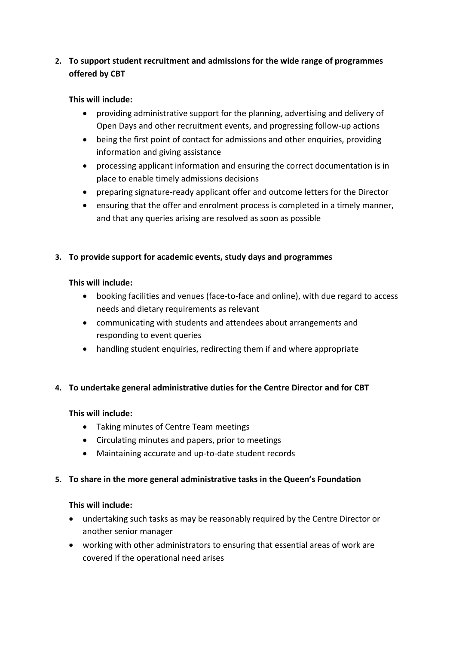### **2. To support student recruitment and admissions for the wide range of programmes offered by CBT**

### **This will include:**

- providing administrative support for the planning, advertising and delivery of Open Days and other recruitment events, and progressing follow-up actions
- being the first point of contact for admissions and other enquiries, providing information and giving assistance
- processing applicant information and ensuring the correct documentation is in place to enable timely admissions decisions
- preparing signature-ready applicant offer and outcome letters for the Director
- ensuring that the offer and enrolment process is completed in a timely manner, and that any queries arising are resolved as soon as possible

### **3. To provide support for academic events, study days and programmes**

### **This will include:**

- booking facilities and venues (face-to-face and online), with due regard to access needs and dietary requirements as relevant
- communicating with students and attendees about arrangements and responding to event queries
- handling student enquiries, redirecting them if and where appropriate

### **4. To undertake general administrative duties for the Centre Director and for CBT**

### **This will include:**

- Taking minutes of Centre Team meetings
- Circulating minutes and papers, prior to meetings
- Maintaining accurate and up-to-date student records

### **5. To share in the more general administrative tasks in the Queen's Foundation**

### **This will include:**

- undertaking such tasks as may be reasonably required by the Centre Director or another senior manager
- working with other administrators to ensuring that essential areas of work are covered if the operational need arises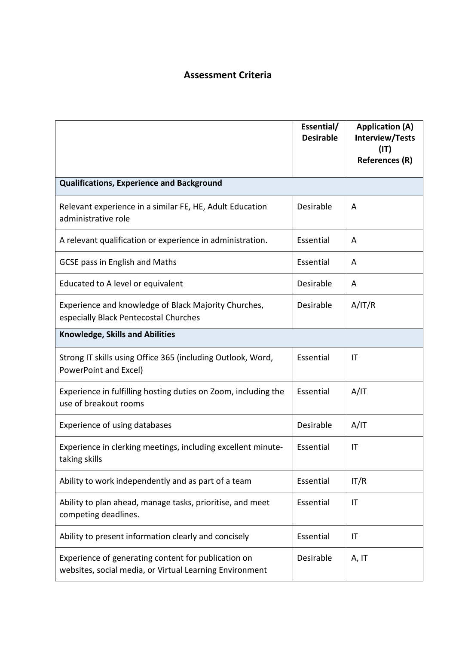## **Assessment Criteria**

|                                                                                                                | Essential/<br><b>Desirable</b> | <b>Application (A)</b><br><b>Interview/Tests</b><br>(IT) |  |  |
|----------------------------------------------------------------------------------------------------------------|--------------------------------|----------------------------------------------------------|--|--|
|                                                                                                                |                                | <b>References (R)</b>                                    |  |  |
| <b>Qualifications, Experience and Background</b>                                                               |                                |                                                          |  |  |
| Relevant experience in a similar FE, HE, Adult Education<br>administrative role                                | Desirable                      | A                                                        |  |  |
| A relevant qualification or experience in administration.                                                      | Essential                      | A                                                        |  |  |
| GCSE pass in English and Maths                                                                                 | Essential                      | A                                                        |  |  |
| Educated to A level or equivalent                                                                              | Desirable                      | A                                                        |  |  |
| Experience and knowledge of Black Majority Churches,<br>especially Black Pentecostal Churches                  | Desirable                      | A/IT/R                                                   |  |  |
| <b>Knowledge, Skills and Abilities</b>                                                                         |                                |                                                          |  |  |
| Strong IT skills using Office 365 (including Outlook, Word,<br>PowerPoint and Excel)                           | Essential                      | IT                                                       |  |  |
| Experience in fulfilling hosting duties on Zoom, including the<br>use of breakout rooms                        | Essential                      | A/IT                                                     |  |  |
| Experience of using databases                                                                                  | Desirable                      | A/IT                                                     |  |  |
| Experience in clerking meetings, including excellent minute-<br>taking skills                                  | Essential                      | IT                                                       |  |  |
| Ability to work independently and as part of a team                                                            | Essential                      | IT/R                                                     |  |  |
| Ability to plan ahead, manage tasks, prioritise, and meet<br>competing deadlines.                              | Essential                      | IT                                                       |  |  |
| Ability to present information clearly and concisely                                                           | Essential                      | IT                                                       |  |  |
| Experience of generating content for publication on<br>websites, social media, or Virtual Learning Environment | Desirable                      | A, IT                                                    |  |  |